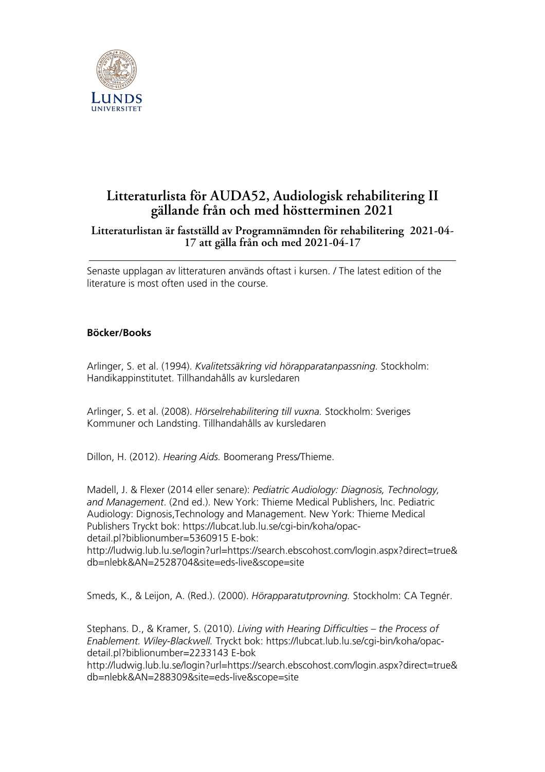

## **Litteraturlista för AUDA52, Audiologisk rehabilitering II gällande från och med höstterminen 2021**

## **Litteraturlistan är fastställd av Programnämnden för rehabilitering 2021-04- 17 att gälla från och med 2021-04-17**

Senaste upplagan av litteraturen används oftast i kursen. / The latest edition of the literature is most often used in the course.

## **Böcker/Books**

Arlinger, S. et al. (1994). *Kvalitetssäkring vid hörapparatanpassning.* Stockholm: Handikappinstitutet. Tillhandahålls av kursledaren

Arlinger, S. et al. (2008). *Hörselrehabilitering till vuxna.* Stockholm: Sveriges Kommuner och Landsting. Tillhandahålls av kursledaren

Dillon, H. (2012). *Hearing Aids.* Boomerang Press/Thieme.

Madell, J. & Flexer (2014 eller senare): *Pediatric Audiology: Diagnosis, Technology, and Management*. (2nd ed.). New York: Thieme Medical Publishers, lnc. Pediatric Audiology: Dignosis,Technology and Management. New York: Thieme Medical Publishers Tryckt bok: https://lubcat.lub.lu.se/cgi-bin/koha/opacdetail.pl?biblionumber=5360915 E-bok:

http://ludwig.lub.lu.se/login?url=https://search.ebscohost.com/login.aspx?direct=true& db=nlebk&AN=2528704&site=eds-live&scope=site

Smeds, K., & Leijon, A. (Red.). (2000). *Hörapparatutprovning.* Stockholm: CA Tegnér.

Stephans. D., & Kramer, S. (2010). *Living with Hearing Difficulties – the Process of Enablement. Wiley-Blackwell.* Tryckt bok: https://lubcat.lub.lu.se/cgi-bin/koha/opacdetail.pl?biblionumber=2233143 E-bok

http://ludwig.lub.lu.se/login?url=https://search.ebscohost.com/login.aspx?direct=true& db=nlebk&AN=288309&site=eds-live&scope=site